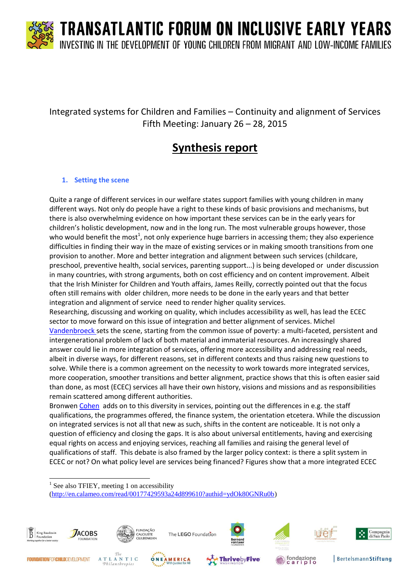

### Integrated systems for Children and Families – Continuity and alignment of Services Fifth Meeting: January 26 – 28, 2015

### **Synthesis report**

#### **1. Setting the scene**

Quite a range of different services in our welfare states support families with young children in many different ways. Not only do people have a right to these kinds of basic provisions and mechanisms, but there is also overwhelming evidence on how important these services can be in the early years for children's holistic development, now and in the long run. The most vulnerable groups however, those who would benefit the most<sup>1</sup>, not only experience huge barriers in accessing them; they also experience difficulties in finding their way in the maze of existing services or in making smooth transitions from one provision to another. More and better integration and alignment between such services (childcare, preschool, preventive health, social services, parenting support...) is being developed or under discussion in many countries, with strong arguments, both on cost efficiency and on content improvement. Albeit that the Irish Minister for Children and Youth affairs, James Reilly, correctly pointed out that the focus often still remains with older children, more needs to be done in the early years and that better integration and alignment of service need to render higher quality services.

Researching, discussing and working on quality, which includes accessibility as well, has lead the ECEC sector to move forward on this issue of integration and better alignment of services. Michel [Vandenbroeck s](http://www.kbs-frb.be/uploadedFiles/2012-KBS-FRB/05)_Pictures,_documents_and_external_sites/12)_Report/TFIEY_Michel-Vandenbroeck.pdf)ets the scene, starting from the common issue of poverty: a multi-faceted, persistent and intergenerational problem of lack of both material and immaterial resources. An increasingly shared answer could lie in more integration of services, offering more accessibility and addressing real needs, albeit in diverse ways, for different reasons, set in different contexts and thus raising new questions to solve. While there is a common agreement on the necessity to work towards more integrated services, more cooperation, smoother transitions and better alignment, practice shows that this is often easier said than done, as most (ECEC) services all have their own history, visions and missions and as responsibilities remain scattered among different authorities.

Bronwen [Cohen](http://www.kbs-frb.be/uploadedFiles/2012-KBS-FRB/05)_Pictures,_documents_and_external_sites/12)_Report/TFIEY_Bronwen-Cohen.pdf) adds on to this diversity in services, pointing out the differences in e.g. the staff qualifications, the programmes offered, the finance system, the orientation etcetera. While the discussion on integrated services is not all that new as such, shifts in the content are noticeable. It is not only a question of efficiency and closing the gaps. It is also about universal entitlements, having and exercising equal rights on access and enjoying services, reaching all families and raising the general level of qualifications of staff. This debate is also framed by the larger policy context: is there a split system in ECEC or not? On what policy level are services being financed? Figures show that a more integrated ECEC

 $\overline{a}$ <sup>1</sup> See also TFIEY, meeting 1 on accessibility [\(http://en.calameo.com/read/00177429593a24d899610?authid=ydOk80GNRu0b\)](http://en.calameo.com/read/00177429593a24d899610?authid=ydOk80GNRu0b)





The LEGO Foundation







fondazione<br>cariplo









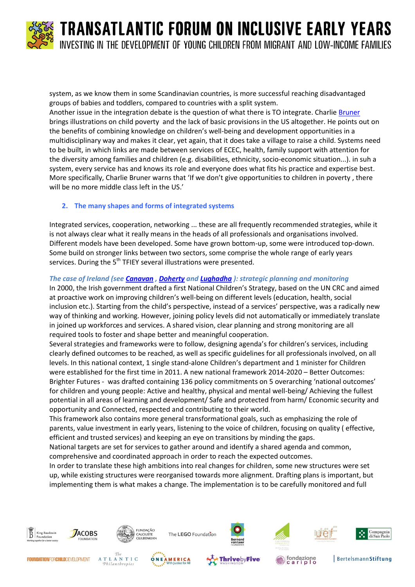

system, as we know them in some Scandinavian countries, is more successful reaching disadvantaged groups of babies and toddlers, compared to countries with a split system.

Another issue in the integration debate is the question of what there is TO integrate. Charlie [Bruner](http://www.kbs-frb.be/uploadedFiles/2012-KBS-FRB/05)_Pictures,_documents_and_external_sites/12)_Report/TFIEY_Charlie-Bruner.pdf) brings illustrations on child poverty and the lack of basic provisions in the US altogether. He points out on the benefits of combining knowledge on children's well-being and development opportunities in a multidisciplinary way and makes it clear, yet again, that it does take a village to raise a child. Systems need to be built, in which links are made between services of ECEC, health, family support with attention for the diversity among families and children (e.g. disabilities, ethnicity, socio-economic situation...). in suh a system, every service has and knows its role and everyone does what fits his practice and expertise best. More specifically, Charlie Bruner warns that 'If we don't give opportunities to children in poverty , there will be no more middle class left in the US.'

#### **2. The many shapes and forms of integrated systems**

Integrated services, cooperation, networking ... these are all frequently recommended strategies, while it is not always clear what it really means in the heads of all professionals and organisations involved. Different models have been developed. Some have grown bottom-up, some were introduced top-down. Some build on stronger links between two sectors, some comprise the whole range of early years services. During the  $5<sup>th</sup>$  TFIEY several illustrations were presented.

#### *The case of Ireland (see [Canavan](http://www.kbs-frb.be/uploadedFiles/2012-KBS-FRB/05)_Pictures,_documents_and_external_sites/12)_Report/TFIEY_Elizabeth-Canavan.pdf) , [Doherty](http://www.kbs-frb.be/uploadedFiles/2012-KBS-FRB/05)_Pictures,_documents_and_external_sites/12)_Report/TFIEY_Nuala-Doherty.pdf) and [Lughadha](http://www.kbs-frb.be/uploadedFiles/2012-KBS-FRB/05)_Pictures,_documents_and_external_sites/12)_Report/TFIEY_Colma-Nic-Lughadha.pdf) ): strategic planning and monitoring*

In 2000, the Irish government drafted a first National Children's Strategy, based on the UN CRC and aimed at proactive work on improving children's well-being on different levels (education, health, social inclusion etc.). Starting from the child's perspective, instead of a services' perspective, was a radically new way of thinking and working. However, joining policy levels did not automatically or immediately translate in joined up workforces and services. A shared vision, clear planning and strong monitoring are all required tools to foster and shape better and meaningful cooperation.

Several strategies and frameworks were to follow, designing agenda's for children's services, including clearly defined outcomes to be reached, as well as specific guidelines for all professionals involved, on all levels. In this national context, 1 single stand-alone Children's department and 1 minister for Children were established for the first time in 2011. A new national framework 2014-2020 – Better Outcomes: Brighter Futures - was drafted containing 136 policy commitments on 5 overarching 'national outcomes' for children and young people: Active and healthy, physical and mental well-being/ Achieving the fullest potential in all areas of learning and development/ Safe and protected from harm/ Economic security and opportunity and Connected, respected and contributing to their world.

This framework also contains more general transformational goals, such as emphasizing the role of parents, value investment in early years, listening to the voice of children, focusing on quality ( effective, efficient and trusted services) and keeping an eye on transitions by minding the gaps.

National targets are set for services to gather around and identify a shared agenda and common, comprehensive and coordinated approach in order to reach the expected outcomes.

In order to translate these high ambitions into real changes for children, some new structures were set up, while existing structures were reorganised towards more alignment. Drafting plans is important, but implementing them is what makes a change. The implementation is to be carefully monitored and full



Philanthropies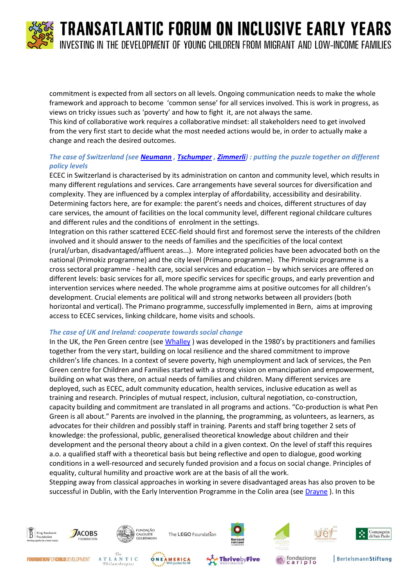

commitment is expected from all sectors on all levels. Ongoing communication needs to make the whole framework and approach to become 'common sense' for all services involved. This is work in progress, as views on tricky issues such as 'poverty' and how to fight it, are not always the same. This kind of collaborative work requires a collaborative mindset: all stakeholders need to get involved from the very first start to decide what the most needed actions would be, in order to actually make a change and reach the desired outcomes.

#### *The case of Switzerland (see [Neumann](http://www.kbs-frb.be/uploadedFiles/2012-KBS-FRB/05)_Pictures,_documents_and_external_sites/12)_Report/TFIEY_Sascha-Neumann.pdf) , [Tschumper](http://www.kbs-frb.be/uploadedFiles/2012-KBS-FRB/05)_Pictures,_documents_and_external_sites/12)_Report/TFIEY_Anne-Marie-Tschumper.pdf) [, Zimmerli\)](http://www.kbs-frb.be/uploadedFiles/2012-KBS-FRB/05)_Pictures,_documents_and_external_sites/12)_Report/TFIEY_Philine-Zimmerli.pdf) : putting the puzzle together on different policy levels*

ECEC in Switzerland is characterised by its administration on canton and community level, which results in many different regulations and services. Care arrangements have several sources for diversification and complexity. They are influenced by a complex interplay of affordability, accessibility and desirability. Determining factors here, are for example: the parent's needs and choices, different structures of day care services, the amount of facilities on the local community level, different regional childcare cultures and different rules and the conditions of enrolment in the settings.

Integration on this rather scattered ECEC-field should first and foremost serve the interests of the children involved and it should answer to the needs of families and the specificities of the local context (rural/urban, disadvantaged/affluent areas...). More integrated policies have been advocated both on the national (Primokiz programme) and the city level (Primano programme). The Primokiz programme is a cross sectoral programme - health care, social services and education – by which services are offered on different levels: basic services for all, more specific services for specific groups, and early prevention and intervention services where needed. The whole programme aims at positive outcomes for all children's development. Crucial elements are political will and strong networks between all providers (both horizontal and vertical). The Primano programme, successfully implemented in Bern, aims at improving access to ECEC services, linking childcare, home visits and schools.

#### *The case of UK and Ireland: cooperate towards social change*

In the UK, the Pen Green centre (se[e Whalley](http://www.kbs-frb.be/uploadedFiles/2012-KBS-FRB/05)_Pictures,_documents_and_external_sites/12)_Report/TFIEY_Margy-Whalley.pdf) ) was developed in the 1980's by practitioners and families together from the very start, building on local resilience and the shared commitment to improve children's life chances. In a context of severe poverty, high unemployment and lack of services, the Pen Green centre for Children and Families started with a strong vision on emancipation and empowerment, building on what was there, on actual needs of families and children. Many different services are deployed, such as ECEC, adult community education, health services, inclusive education as well as training and research. Principles of mutual respect, inclusion, cultural negotiation, co-construction, capacity building and commitment are translated in all programs and actions. "Co-production is what Pen Green is all about." Parents are involved in the planning, the programming, as volunteers, as learners, as advocates for their children and possibly staff in training. Parents and staff bring together 2 sets of knowledge: the professional, public, generalised theoretical knowledge about children and their development and the personal theory about a child in a given context. On the level of staff this requires a.o. a qualified staff with a theoretical basis but being reflective and open to dialogue, good working conditions in a well-resourced and securely funded provision and a focus on social change. Principles of equality, cultural humility and proactive work are at the basis of all the work.

Stepping away from classical approaches in working in severe disadvantaged areas has also proven to be successful in Dublin, with the Early Intervention Programme in the Colin area (se[e Drayne](http://www.kbs-frb.be/uploadedFiles/2012-KBS-FRB/05)_Pictures,_documents_and_external_sites/12)_Report/TFIEY_Kieran-Drayne_F.pdf)). In this

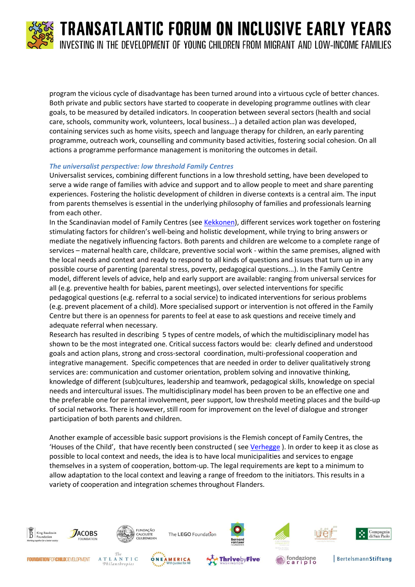

program the vicious cycle of disadvantage has been turned around into a virtuous cycle of better chances. Both private and public sectors have started to cooperate in developing programme outlines with clear goals, to be measured by detailed indicators. In cooperation between several sectors (health and social care, schools, community work, volunteers, local business…) a detailed action plan was developed, containing services such as home visits, speech and language therapy for children, an early parenting programme, outreach work, counselling and community based activities, fostering social cohesion. On all actions a programme performance management is monitoring the outcomes in detail.

#### *The universalist perspective: low threshold Family Centres*

Universalist services, combining different functions in a low threshold setting, have been developed to serve a wide range of families with advice and support and to allow people to meet and share parenting experiences. Fostering the holistic development of children in diverse contexts is a central aim. The input from parents themselves is essential in the underlying philosophy of families and professionals learning from each other.

In the Scandinavian model of Family Centres (se[e Kekkonen\)](http://www.kbs-frb.be/uploadedFiles/2012-KBS-FRB/05)_Pictures,_documents_and_external_sites/12)_Report/TFIEY_Mariatta-Kekkonen.pdf), different services work together on fostering stimulating factors for children's well-being and holistic development, while trying to bring answers or mediate the negatively influencing factors. Both parents and children are welcome to a complete range of services – maternal health care, childcare, preventive social work - within the same premises, aligned with the local needs and context and ready to respond to all kinds of questions and issues that turn up in any possible course of parenting (parental stress, poverty, pedagogical questions...). In the Family Centre model, different levels of advice, help and early support are available: ranging from universal services for all (e.g. preventive health for babies, parent meetings), over selected interventions for specific pedagogical questions (e.g. referral to a social service) to indicated interventions for serious problems (e.g. prevent placement of a child). More specialised support or intervention is not offered in the Family Centre but there is an openness for parents to feel at ease to ask questions and receive timely and adequate referral when necessary.

Research has resulted in describing 5 types of centre models, of which the multidisciplinary model has shown to be the most integrated one. Critical success factors would be: clearly defined and understood goals and action plans, strong and cross-sectoral coordination, multi-professional cooperation and integrative management. Specific competences that are needed in order to deliver qualitatively strong services are: communication and customer orientation, problem solving and innovative thinking, knowledge of different (sub)cultures, leadership and teamwork, pedagogical skills, knowledge on special needs and intercultural issues. The multidisciplinary model has been proven to be an effective one and the preferable one for parental involvement, peer support, low threshold meeting places and the build-up of social networks. There is however, still room for improvement on the level of dialogue and stronger participation of both parents and children.

Another example of accessible basic support provisions is the Flemish concept of Family Centres, the 'Houses of the Child', that have recently been constructed ( see [Verhegge](http://www.kbs-frb.be/uploadedFiles/2012-KBS-FRB/05)_Pictures,_documents_and_external_sites/12)_Report/TFIEY_Katrien-Verhegge.pdf) ). In order to keep it as close as possible to local context and needs, the idea is to have local municipalities and services to engage themselves in a system of cooperation, bottom-up. The legal requirements are kept to a minimum to allow adaptation to the local context and leaving a range of freedom to the initiators. This results in a variety of cooperation and integration schemes throughout Flanders.



Philanthropies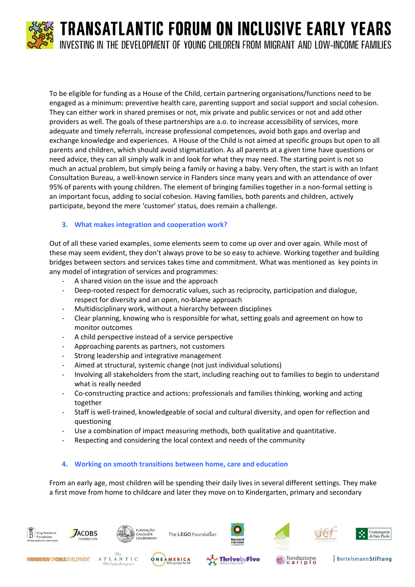

To be eligible for funding as a House of the Child, certain partnering organisations/functions need to be engaged as a minimum: preventive health care, parenting support and social support and social cohesion. They can either work in shared premises or not, mix private and public services or not and add other providers as well. The goals of these partnerships are a.o. to increase accessibility of services, more adequate and timely referrals, increase professional competences, avoid both gaps and overlap and exchange knowledge and experiences. A House of the Child is not aimed at specific groups but open to all parents and children, which should avoid stigmatization. As all parents at a given time have questions or need advice, they can all simply walk in and look for what they may need. The starting point is not so much an actual problem, but simply being a family or having a baby. Very often, the start is with an Infant Consultation Bureau, a well-known service in Flanders since many years and with an attendance of over 95% of parents with young children. The element of bringing families together in a non-formal setting is an important focus, adding to social cohesion. Having families, both parents and children, actively participate, beyond the mere 'customer' status, does remain a challenge.

#### **3. What makes integration and cooperation work?**

Out of all these varied examples, some elements seem to come up over and over again. While most of these may seem evident, they don't always prove to be so easy to achieve. Working together and building bridges between sectors and services takes time and commitment. What was mentioned as key points in any model of integration of services and programmes:

- A shared vision on the issue and the approach
- Deep-rooted respect for democratic values, such as reciprocity, participation and dialogue, respect for diversity and an open, no-blame approach
- Multidisciplinary work, without a hierarchy between disciplines
- Clear planning, knowing who is responsible for what, setting goals and agreement on how to monitor outcomes
- A child perspective instead of a service perspective
- Approaching parents as partners, not customers
- Strong leadership and integrative management

Philanthropies

- Aimed at structural, systemic change (not just individual solutions)
- Involving all stakeholders from the start, including reaching out to families to begin to understand what is really needed
- Co-constructing practice and actions: professionals and families thinking, working and acting together
- Staff is well-trained, knowledgeable of social and cultural diversity, and open for reflection and questioning
- Use a combination of impact measuring methods, both qualitative and quantitative.
- Respecting and considering the local context and needs of the community

#### **4. Working on smooth transitions between home, care and education**

From an early age, most children will be spending their daily lives in several different settings. They make a first move from home to childcare and later they move on to Kindergarten, primary and secondary



**BertelsmannStiftung** 

Compagnia<br>di San Paolo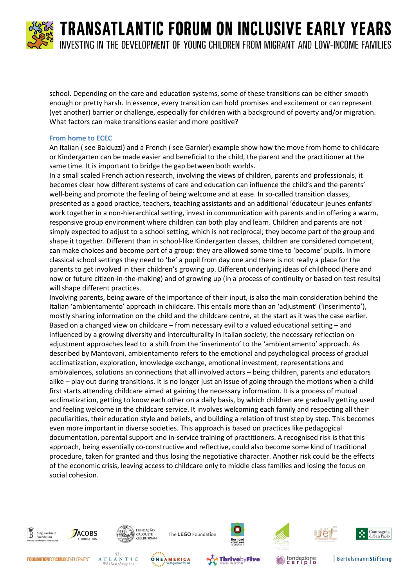

school. Depending on the care and education systems, some of these transitions can be either smooth enough or pretty harsh. In essence, every transition can hold promises and excitement or can represent (yet another) barrier or challenge, especially for children with a background of poverty and/or migration. What factors can make transitions easier and more positive?

#### **From home to ECEC**

An Italian ( see [Balduzzi\)](http://www.kbs-frb.be/uploadedFiles/2012-KBS-FRB/05)_Pictures,_documents_and_external_sites/12)_Report/TFIEY_Lucia-Balduzzi.pdf) and a French ( see [Garnier\)](http://www.kbs-frb.be/uploadedFiles/2012-KBS-FRB/05)_Pictures,_documents_and_external_sites/12)_Report/TFIEY_Pascale-Garnier.pdf) example show how the move from home to childcare or Kindergarten can be made easier and beneficial to the child, the parent and the practitioner at the same time. It is important to bridge the gap between both worlds.

In a small scaled French action research, involving the views of children, parents and professionals, it becomes clear how different systems of care and education can influence the child's and the parents' well-being and promote the feeling of being welcome and at ease. In so-called transition classes, presented as a good practice, teachers, teaching assistants and an additional 'éducateur jeunes enfants' work together in a non-hierarchical setting, invest in communication with parents and in offering a warm, responsive group environment where children can both play and learn. Children and parents are not simply expected to adjust to a school setting, which is not reciprocal; they become part of the group and shape it together. Different than in school-like Kindergarten classes, children are considered competent, can make choices and become part of a group: they are allowed some time to 'become' pupils. In more classical school settings they need to 'be' a pupil from day one and there is not really a place for the parents to get involved in their children's growing up. Different underlying ideas of childhood (here and now or future citizen-in-the-making) and of growing up (in a process of continuity or based on test results) will shape different practices.

Involving parents, being aware of the importance of their input, is also the main consideration behind the Italian 'ambientamento' approach in childcare. This entails more than an 'adjustment' ('inserimento'), mostly sharing information on the child and the childcare centre, at the start as it was the case earlier. Based on a changed view on childcare – from necessary evil to a valued educational setting – and influenced by a growing diversity and interculturality in Italian society, the necessary reflection on adjustment approaches lead to a shift from the 'inserimento' to the 'ambientamento' approach. As described by Mantovani, ambientamento refers to the emotional and psychological process of gradual acclimatization, exploration, knowledge exchange, emotional investment, representations and ambivalences, solutions an connections that all involved actors – being children, parents and educators alike – play out during transitions. It is no longer just an issue of going through the motions when a child first starts attending childcare aimed at gaining the necessary information. It is a process of mutual acclimatization, getting to know each other on a daily basis, by which children are gradually getting used and feeling welcome in the childcare service. It involves welcoming each family and respecting all their peculiarities, their education style and beliefs, and building a relation of trust step by step. This becomes even more important in diverse societies. This approach is based on practices like pedagogical documentation, parental support and in-service training of practitioners. A recognised risk is that this approach, being essentially co-constructive and reflective, could also become some kind of traditional procedure, taken for granted and thus losing the negotiative character. Another risk could be the effects of the economic crisis, leaving access to childcare only to middle class families and losing the focus on social cohesion.





FUNDAÇÃO<br>CALOUSTE<br>GULBENKIAN The LEGO Foundation

















fondazione<br>cariplo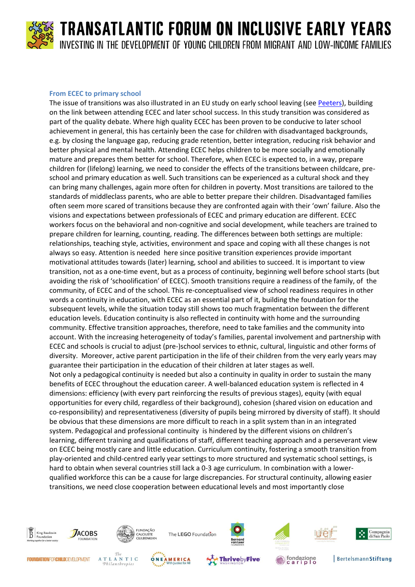

#### **From ECEC to primary school**

The issue of transitions was also illustrated in an EU study on early school leaving (see [Peeters\)](http://www.kbs-frb.be/uploadedFiles/2012-KBS-FRB/05)_Pictures,_documents_and_external_sites/12)_Report/TFIEY_Jan-Peeters.pdf), building on the link between attending ECEC and later school success. In this study transition was considered as part of the quality debate. Where high quality ECEC has been proven to be conducive to later school achievement in general, this has certainly been the case for children with disadvantaged backgrounds, e.g. by closing the language gap, reducing grade retention, better integration, reducing risk behavior and better physical and mental health. Attending ECEC helps children to be more socially and emotionally mature and prepares them better for school. Therefore, when ECEC is expected to, in a way, prepare children for (lifelong) learning, we need to consider the effects of the transitions between childcare, preschool and primary education as well. Such transitions can be experienced as a cultural shock and they can bring many challenges, again more often for children in poverty. Most transitions are tailored to the standards of middleclass parents, who are able to better prepare their children. Disadvantaged families often seem more scared of transitions because they are confronted again with their 'own' failure. Also the visions and expectations between professionals of ECEC and primary education are different. ECEC workers focus on the behavioral and non-cognitive and social development, while teachers are trained to prepare children for learning, counting, reading. The differences between both settings are multiple: relationships, teaching style, activities, environment and space and coping with all these changes is not always so easy. Attention is needed here since positive transition experiences provide important motivational attitudes towards (later) learning, school and abilities to succeed. It is important to view transition, not as a one-time event, but as a process of continuity, beginning well before school starts (but avoiding the risk of 'schoolification' of ECEC). Smooth transitions require a readiness of the family, of the community, of ECEC and of the school. This re-conceptualised view of school readiness requires in other words a continuity in education, with ECEC as an essential part of it, building the foundation for the subsequent levels, while the situation today still shows too much fragmentation between the different education levels. Education continuity is also reflected in continuity with home and the surrounding community. Effective transition approaches, therefore, need to take families and the community into account. With the increasing heterogeneity of today's families, parental involvement and partnership with ECEC and schools is crucial to adjust (pre-)school services to ethnic, cultural, linguistic and other forms of diversity. Moreover, active parent participation in the life of their children from the very early years may guarantee their participation in the education of their children at later stages as well. Not only a pedagogical continuity is needed but also a continuity in quality in order to sustain the many benefits of ECEC throughout the education career. A well-balanced education system is reflected in 4 dimensions: efficiency (with every part reinforcing the results of previous stages), equity (with equal opportunities for every child, regardless of their background), cohesion (shared vision on education and co-responsibility) and representativeness (diversity of pupils being mirrored by diversity of staff). It should be obvious that these dimensions are more difficult to reach in a split system than in an integrated system. Pedagogical and professional continuity is hindered by the different visions on children's learning, different training and qualifications of staff, different teaching approach and a perseverant view on ECEC being mostly care and little education. Curriculum continuity, fostering a smooth transition from play-oriented and child-centred early year settings to more structured and systematic school settings, is hard to obtain when several countries still lack a 0-3 age curriculum. In combination with a lowerqualified workforce this can be a cause for large discrepancies. For structural continuity, allowing easier transitions, we need close cooperation between educational levels and most importantly close

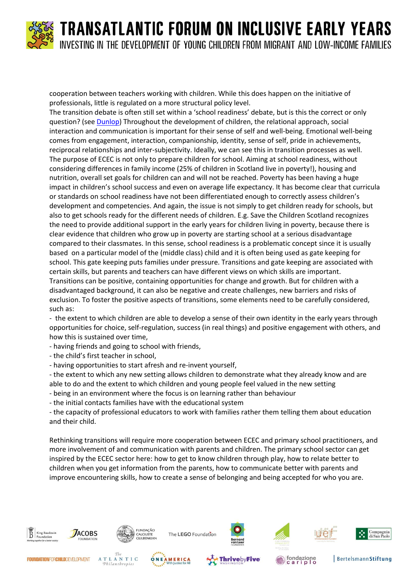

cooperation between teachers working with children. While this does happen on the initiative of professionals, little is regulated on a more structural policy level.

The transition debate is often still set within a 'school readiness' debate, but is this the correct or only question? (se[e Dunlop\)](http://www.kbs-frb.be/uploadedFiles/2012-KBS-FRB/05)_Pictures,_documents_and_external_sites/12)_Report/TFIEY_Aline-Wendy-Dunlop.pdf) Throughout the development of children, the relational approach, social interaction and communication is important for their sense of self and well-being. Emotional well-being comes from engagement, interaction, companionship, identity, sense of self, pride in achievements, reciprocal relationships and inter-subjectivity. Ideally, we can see this in transition processes as well. The purpose of ECEC is not only to prepare children for school. Aiming at school readiness, without considering differences in family income (25% of children in Scotland live in poverty!), housing and nutrition, overall set goals for children can and will not be reached. Poverty has been having a huge impact in children's school success and even on average life expectancy. It has become clear that curricula or standards on school readiness have not been differentiated enough to correctly assess children's development and competencies. And again, the issue is not simply to get children ready for schools, but also to get schools ready for the different needs of children. E.g. Save the Children Scotland recognizes the need to provide additional support in the early years for children living in poverty, because there is clear evidence that children who grow up in poverty are starting school at a serious disadvantage compared to their classmates. In this sense, school readiness is a problematic concept since it is usually based on a particular model of the (middle class) child and it is often being used as gate keeping for school. This gate keeping puts families under pressure. Transitions and gate keeping are associated with certain skills, but parents and teachers can have different views on which skills are important. Transitions can be positive, containing opportunities for change and growth. But for children with a disadvantaged background, it can also be negative and create challenges, new barriers and risks of exclusion. To foster the positive aspects of transitions, some elements need to be carefully considered, such as:

- the extent to which children are able to develop a sense of their own identity in the early years through opportunities for choice, self-regulation, success (in real things) and positive engagement with others, and how this is sustained over time,

- having friends and going to school with friends,
- the child's first teacher in school,
- having opportunities to start afresh and re-invent yourself,

- the extent to which any new setting allows children to demonstrate what they already know and are able to do and the extent to which children and young people feel valued in the new setting

- being in an environment where the focus is on learning rather than behaviour

- the initial contacts families have with the educational system

- the capacity of professional educators to work with families rather them telling them about education and their child.

Rethinking transitions will require more cooperation between ECEC and primary school practitioners, and more involvement of and communication with parents and children. The primary school sector can get inspired by the ECEC sector here: how to get to know children through play, how to relate better to children when you get information from the parents, how to communicate better with parents and improve encountering skills, how to create a sense of belonging and being accepted for who you are.











**BertelsmannStiftung** 

Compagnia<br>di San Paolo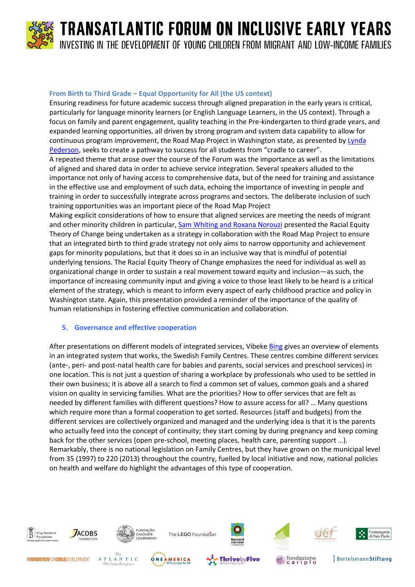

#### **From Birth to Third Grade – Equal Opportunity for All (the US context)**

Ensuring readiness for future academic success through aligned preparation in the early years is critical, particularly for language minority learners (or English Language Learners, in the US context). Through a focus on family and parent engagement, quality teaching in the Pre-kindergarten to third grade years, and expanded learning opportunities, all driven by strong program and system data capability to allow for continuous program improvement, the Road Map Project in Washington state, as presented b[y Lynda](http://www.kbs-frb.be/uploadedFiles/2012-KBS-FRB/05)_Pictures,_documents_and_external_sites/12)_Report/TFIEY_Lynda-Petersen.pdf)  [Pederson](http://www.kbs-frb.be/uploadedFiles/2012-KBS-FRB/05)_Pictures,_documents_and_external_sites/12)_Report/TFIEY_Lynda-Petersen.pdf), seeks to create a pathway to success for all students from "cradle to career".

A repeated theme that arose over the course of the Forum was the importance as well as the limitations of aligned and shared data in order to achieve service integration. Several speakers alluded to the importance not only of having access to comprehensive data, but of the need for training and assistance in the effective use and employment of such data, echoing the importance of investing in people and training in order to successfully integrate across programs and sectors. The deliberate inclusion of such training opportunities was an important piece of the Road Map Project

Making explicit considerations of how to ensure that aligned services are meeting the needs of migrant and other minority children in particular[, Sam Whiting and Roxana Norouzi](http://www.kbs-frb.be/uploadedFiles/2012-KBS-FRB/05)_Pictures,_documents_and_external_sites/12)_Report/TFIEY_Whiting-Norouzi.pdf) presented the Racial Equity Theory of Change being undertaken as a strategy in collaboration with the Road Map Project to ensure that an integrated birth to third grade strategy not only aims to narrow opportunity and achievement gaps for minority populations, but that it does so in an inclusive way that is mindful of potential underlying tensions. The Racial Equity Theory of Change emphasizes the need for individual as well as organizational change in order to sustain a real movement toward equity and inclusion—as such, the importance of increasing community input and giving a voice to those least likely to be heard is a critical element of the strategy, which is meant to inform every aspect of early childhood practice and policy in Washington state. Again, this presentation provided a reminder of the importance of the quality of human relationships in fostering effective communication and collaboration.

#### **5. Governance and effective cooperation**

After presentations on different models of integrated services, Vibeke [Bing](http://www.kbs-frb.be/uploadedFiles/2012-KBS-FRB/05)_Pictures,_documents_and_external_sites/12)_Report/TFIEY_Vibeke-Bing.pdf) gives an overview of elements in an integrated system that works, the Swedish Family Centres. These centres combine different services (ante-, peri- and post-natal health care for babies and parents, social services and preschool services) in one location. This is not just a question of sharing a workplace by professionals who used to be settled in their own business; it is above all a search to find a common set of values, common goals and a shared vision on quality in servicing families. What are the priorities? How to offer services that are felt as needed by different families with different questions? How to assure access for all? … Many questions which require more than a formal cooperation to get sorted. Resources (staff and budgets) from the different services are collectively organized and managed and the underlying idea is that it is the parents who actually feed into the concept of continuity; they start coming by during pregnancy and keep coming back for the other services (open pre-school, meeting places, health care, parenting support …). Remarkably, there is no national legislation on Family Centres, but they have grown on the municipal level from 35 (1997) to 220 (2013) throughout the country, fuelled by local initiative and now, national policies on health and welfare do highlight the advantages of this type of cooperation.

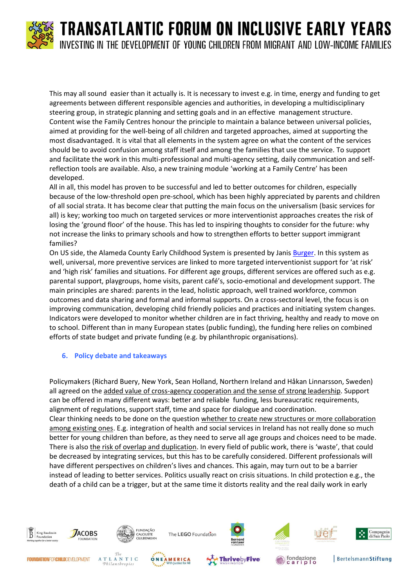This may all sound easier than it actually is. It is necessary to invest e.g. in time, energy and funding to get agreements between different responsible agencies and authorities, in developing a multidisciplinary steering group, in strategic planning and setting goals and in an effective management structure. Content wise the Family Centres honour the principle to maintain a balance between universal policies, aimed at providing for the well-being of all children and targeted approaches, aimed at supporting the most disadvantaged. It is vital that all elements in the system agree on what the content of the services should be to avoid confusion among staff itself and among the families that use the service. To support and facilitate the work in this multi-professional and multi-agency setting, daily communication and selfreflection tools are available. Also, a new training module 'working at a Family Centre' has been developed.

All in all, this model has proven to be successful and led to better outcomes for children, especially because of the low-threshold open pre-school, which has been highly appreciated by parents and children of all social strata. It has become clear that putting the main focus on the universalism (basic services for all) is key; working too much on targeted services or more interventionist approaches creates the risk of losing the 'ground floor' of the house. This has led to inspiring thoughts to consider for the future: why not increase the links to primary schools and how to strengthen efforts to better support immigrant families?

On US side, the Alameda County Early Childhood System is presented by Janis [Burger.](http://www.kbs-frb.be/uploadedFiles/2012-KBS-FRB/05)_Pictures,_documents_and_external_sites/12)_Report/TFIEY_Janis-Burger.pdf) In this system as well, universal, more preventive services are linked to more targeted interventionist support for 'at risk' and 'high risk' families and situations. For different age groups, different services are offered such as e.g. parental support, playgroups, home visits, parent café's, socio-emotional and development support. The main principles are shared: parents in the lead, holistic approach, well trained workforce, common outcomes and data sharing and formal and informal supports. On a cross-sectoral level, the focus is on improving communication, developing child friendly policies and practices and initiating system changes. Indicators were developed to monitor whether children are in fact thriving, healthy and ready to move on to school. Different than in many European states (public funding), the funding here relies on combined efforts of state budget and private funding (e.g. by philanthropic organisations).

#### **6. Policy debate and takeaways**

Policymakers (Richard Buery, New York, Sean Holland, Northern Ireland and Håkan Linnarsson, Sweden) all agreed on the added value of cross-agency cooperation and the sense of strong leadership. Support can be offered in many different ways: better and reliable funding, less bureaucratic requirements, alignment of regulations, support staff, time and space for dialogue and coordination. Clear thinking needs to be done on the question whether to create new structures or more collaboration among existing ones. E.g. integration of health and social services in Ireland has not really done so much better for young children than before, as they need to serve all age groups and choices need to be made. There is also the risk of overlap and duplication. In every field of public work, there is 'waste', that could be decreased by integrating services, but this has to be carefully considered. Different professionals will have different perspectives on children's lives and chances. This again, may turn out to be a barrier instead of leading to better services. Politics usually react on crisis situations. In child protection e.g., the death of a child can be a trigger, but at the same time it distorts reality and the real daily work in early

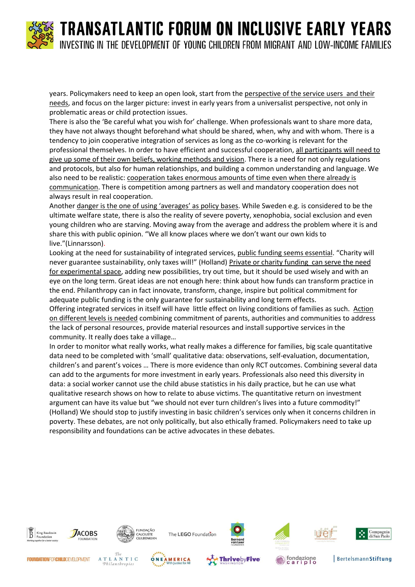years. Policymakers need to keep an open look, start from the perspective of the service users and their needs, and focus on the larger picture: invest in early years from a universalist perspective, not only in problematic areas or child protection issues.

There is also the 'Be careful what you wish for' challenge. When professionals want to share more data, they have not always thought beforehand what should be shared, when, why and with whom. There is a tendency to join cooperative integration of services as long as the co-working is relevant for the professional themselves. In order to have efficient and successful cooperation, all participants will need to give up some of their own beliefs, working methods and vision. There is a need for not only regulations and protocols, but also for human relationships, and building a common understanding and language. We also need to be realistic: cooperation takes enormous amounts of time even when there already is communication. There is competition among partners as well and mandatory cooperation does not always result in real cooperation.

Another danger is the one of using 'averages' as policy bases. While Sweden e.g. is considered to be the ultimate welfare state, there is also the reality of severe poverty, xenophobia, social exclusion and even young children who are starving. Moving away from the average and address the problem where it is and share this with public opinion. "We all know places where we don't want our own kids to live."(Linnarsson).

Looking at the need for sustainability of integrated services, public funding seems essential. "Charity will never guarantee sustainability, only taxes will!" (Holland) Private or charity funding can serve the need for experimental space, adding new possibilities, try out time, but it should be used wisely and with an eye on the long term. Great ideas are not enough here: think about how funds can transform practice in the end. Philanthropy can in fact innovate, transform, change, inspire but political commitment for adequate public funding is the only guarantee for sustainability and long term effects.

Offering integrated services in itself will have little effect on living conditions of families as such. Action on different levels is needed combining commitment of parents, authorities and communities to address the lack of personal resources, provide material resources and install supportive services in the community. It really does take a village…

In order to monitor what really works, what really makes a difference for families, big scale quantitative data need to be completed with 'small' qualitative data: observations, self-evaluation, documentation, children's and parent's voices … There is more evidence than only RCT outcomes. Combining several data can add to the arguments for more investment in early years. Professionals also need this diversity in data: a social worker cannot use the child abuse statistics in his daily practice, but he can use what qualitative research shows on how to relate to abuse victims. The quantitative return on investment argument can have its value but "we should not ever turn children's lives into a future commodity!" (Holland) We should stop to justify investing in basic children's services only when it concerns children in poverty. These debates, are not only politically, but also ethically framed. Policymakers need to take up responsibility and foundations can be active advocates in these debates.





The LEGO Foundation